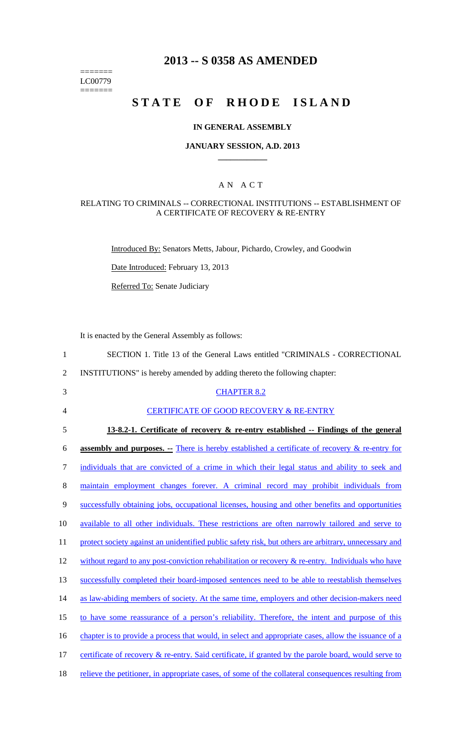======= LC00779  $=$ 

## **2013 -- S 0358 AS AMENDED**

# **STATE OF RHODE ISLAND**

## **IN GENERAL ASSEMBLY**

## **JANUARY SESSION, A.D. 2013 \_\_\_\_\_\_\_\_\_\_\_\_**

## A N A C T

## RELATING TO CRIMINALS -- CORRECTIONAL INSTITUTIONS -- ESTABLISHMENT OF A CERTIFICATE OF RECOVERY & RE-ENTRY

Introduced By: Senators Metts, Jabour, Pichardo, Crowley, and Goodwin

Date Introduced: February 13, 2013

Referred To: Senate Judiciary

It is enacted by the General Assembly as follows:

| $\mathbf{1}$   | SECTION 1. Title 13 of the General Laws entitled "CRIMINALS - CORRECTIONAL                              |
|----------------|---------------------------------------------------------------------------------------------------------|
| $\overline{2}$ | INSTITUTIONS" is hereby amended by adding thereto the following chapter:                                |
| 3              | <b>CHAPTER 8.2</b>                                                                                      |
| $\overline{4}$ | <b>CERTIFICATE OF GOOD RECOVERY &amp; RE-ENTRY</b>                                                      |
| 5              | 13-8.2-1. Certificate of recovery & re-entry established -- Findings of the general                     |
| 6              | <b>assembly and purposes.</b> - There is hereby established a certificate of recovery $\&$ re-entry for |
| $\tau$         | individuals that are convicted of a crime in which their legal status and ability to seek and           |
| 8              | maintain employment changes forever. A criminal record may prohibit individuals from                    |
| $\mathbf{9}$   | successfully obtaining jobs, occupational licenses, housing and other benefits and opportunities        |
| 10             | available to all other individuals. These restrictions are often narrowly tailored and serve to         |
| 11             | protect society against an unidentified public safety risk, but others are arbitrary, unnecessary and   |
| 12             | without regard to any post-conviction rehabilitation or recovery $\&$ re-entry. Individuals who have    |
| 13             | successfully completed their board-imposed sentences need to be able to reestablish themselves          |
| 14             | as law-abiding members of society. At the same time, employers and other decision-makers need           |
| 15             | to have some reassurance of a person's reliability. Therefore, the intent and purpose of this           |
| 16             | chapter is to provide a process that would, in select and appropriate cases, allow the issuance of a    |
| 17             | certificate of recovery & re-entry. Said certificate, if granted by the parole board, would serve to    |
| 18             | relieve the petitioner, in appropriate cases, of some of the collateral consequences resulting from     |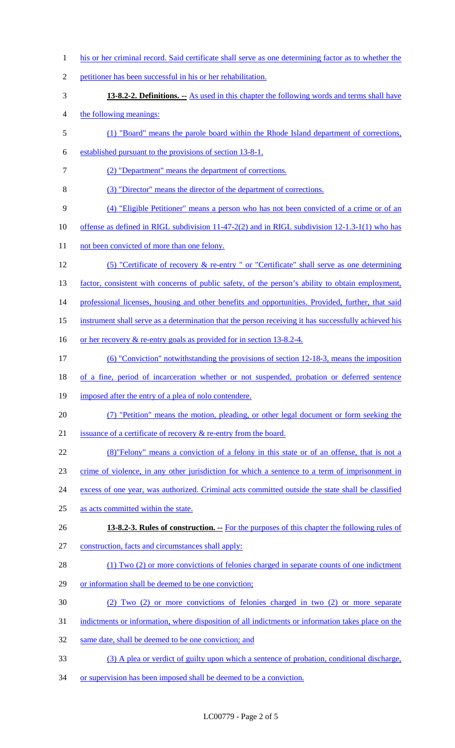1 his or her criminal record. Said certificate shall serve as one determining factor as to whether the 2 petitioner has been successful in his or her rehabilitation. 3 **13-8.2-2. Definitions. --** As used in this chapter the following words and terms shall have 4 the following meanings: 5 (1) "Board" means the parole board within the Rhode Island department of corrections, 6 established pursuant to the provisions of section 13-8-1. 7 (2) "Department" means the department of corrections. 8 (3) "Director" means the director of the department of corrections. 9 (4) "Eligible Petitioner" means a person who has not been convicted of a crime or of an 10 offense as defined in RIGL subdivision 11-47-2(2) and in RIGL subdivision 12-1.3-1(1) who has 11 not been convicted of more than one felony. 12 (5) "Certificate of recovery & re-entry " or "Certificate" shall serve as one determining 13 factor, consistent with concerns of public safety, of the person's ability to obtain employment, 14 professional licenses, housing and other benefits and opportunities. Provided, further, that said 15 instrument shall serve as a determination that the person receiving it has successfully achieved his 16 or her recovery & re-entry goals as provided for in section 13-8.2-4. 17 (6) "Conviction" notwithstanding the provisions of section 12-18-3, means the imposition 18 of a fine, period of incarceration whether or not suspended, probation or deferred sentence 19 imposed after the entry of a plea of nolo contendere. 20 (7) "Petition" means the motion, pleading, or other legal document or form seeking the 21 issuance of a certificate of recovery & re-entry from the board. 22 (8)"Felony" means a conviction of a felony in this state or of an offense, that is not a 23 crime of violence, in any other jurisdiction for which a sentence to a term of imprisonment in 24 excess of one year, was authorized. Criminal acts committed outside the state shall be classified 25 as acts committed within the state. 26 **13-8.2-3. Rules of construction. --** For the purposes of this chapter the following rules of 27 construction, facts and circumstances shall apply: 28 (1) Two (2) or more convictions of felonies charged in separate counts of one indictment 29 or information shall be deemed to be one conviction; 30 (2) Two (2) or more convictions of felonies charged in two (2) or more separate 31 indictments or information, where disposition of all indictments or information takes place on the 32 same date, shall be deemed to be one conviction; and 33 (3) A plea or verdict of guilty upon which a sentence of probation, conditional discharge, 34 or supervision has been imposed shall be deemed to be a conviction.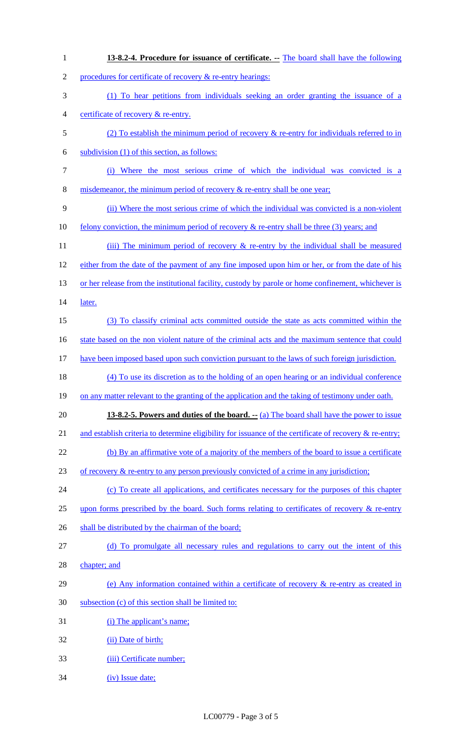| $\mathbf{1}$   | 13-8.2-4. Procedure for issuance of certificate. -- The board shall have the following                              |
|----------------|---------------------------------------------------------------------------------------------------------------------|
| $\overline{2}$ | procedures for certificate of recovery & re-entry hearings:                                                         |
| 3              | (1) To hear petitions from individuals seeking an order granting the issuance of a                                  |
| 4              | certificate of recovery & re-entry.                                                                                 |
| 5              | (2) To establish the minimum period of recovery $\&$ re-entry for individuals referred to in                        |
| 6              | subdivision (1) of this section, as follows:                                                                        |
| 7              | Where the most serious crime of which the individual was convicted is a<br>(i)                                      |
| 8              | misdemeanor, the minimum period of recovery $\&$ re-entry shall be one year;                                        |
| 9              | (ii) Where the most serious crime of which the individual was convicted is a non-violent                            |
| 10             | <u>felony conviction, the minimum period of recovery <math>\&amp;</math> re-entry shall be three (3) years; and</u> |
| 11             | (iii) The minimum period of recovery $\&$ re-entry by the individual shall be measured                              |
| 12             | either from the date of the payment of any fine imposed upon him or her, or from the date of his                    |
| 13             | or her release from the institutional facility, custody by parole or home confinement, whichever is                 |
| 14             | later.                                                                                                              |
| 15             | (3) To classify criminal acts committed outside the state as acts committed within the                              |
| 16             | state based on the non violent nature of the criminal acts and the maximum sentence that could                      |
| 17             | have been imposed based upon such conviction pursuant to the laws of such foreign jurisdiction.                     |
| 18             | (4) To use its discretion as to the holding of an open hearing or an individual conference                          |
| 19             | on any matter relevant to the granting of the application and the taking of testimony under oath.                   |
| 20             | <b>13-8.2-5. Powers and duties of the board.</b> -- (a) The board shall have the power to issue                     |
| 21             | and establish criteria to determine eligibility for issuance of the certificate of recovery $\&$ re-entry;          |
| 22             | (b) By an affirmative vote of a majority of the members of the board to issue a certificate                         |
| 23             | of recovery $\&$ re-entry to any person previously convicted of a crime in any jurisdiction;                        |
| 24             | (c) To create all applications, and certificates necessary for the purposes of this chapter                         |
| 25             | upon forms prescribed by the board. Such forms relating to certificates of recovery $\&$ re-entry                   |
| 26             | shall be distributed by the chairman of the board;                                                                  |
| 27             | (d) To promulgate all necessary rules and regulations to carry out the intent of this                               |
| 28             | chapter; and                                                                                                        |
| 29             | (e) Any information contained within a certificate of recovery $\&$ re-entry as created in                          |
| 30             | subsection (c) of this section shall be limited to:                                                                 |
| 31             | (i) The applicant's name;                                                                                           |
| 32             | (ii) Date of birth;                                                                                                 |
| 33             | (iii) Certificate number;                                                                                           |
| 34             | (iv) Issue date;                                                                                                    |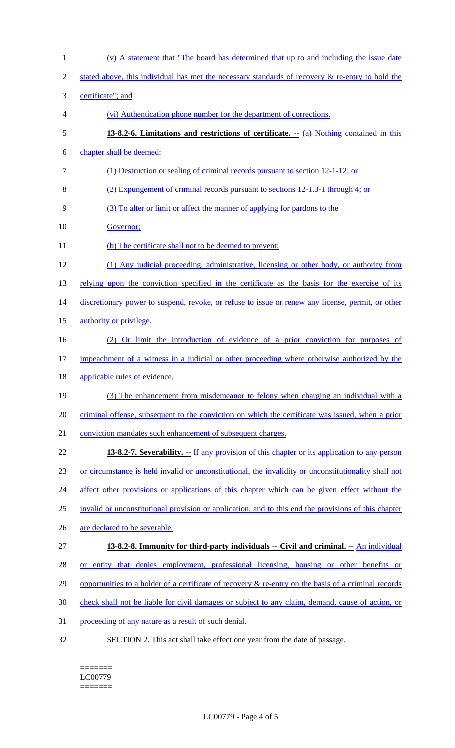| $\mathbf{1}$ | (v) A statement that "The board has determined that up to and including the issue date                  |
|--------------|---------------------------------------------------------------------------------------------------------|
| 2            | stated above, this individual has met the necessary standards of recovery $\&$ re-entry to hold the     |
| 3            | certificate"; and                                                                                       |
| 4            | (vi) Authentication phone number for the department of corrections.                                     |
| 5            | 13-8.2-6. Limitations and restrictions of certificate. $\frac{a}{b}$ Nothing contained in this          |
| 6            | chapter shall be deemed:                                                                                |
| $\tau$       | (1) Destruction or sealing of criminal records pursuant to section 12-1-12; or                          |
| 8            | (2) Expungement of criminal records pursuant to sections 12-1.3-1 through 4; or                         |
| 9            | (3) To alter or limit or affect the manner of applying for pardons to the                               |
| 10           | Governor;                                                                                               |
| 11           | (b) The certificate shall not to be deemed to prevent:                                                  |
| 12           | (1) Any judicial proceeding, administrative, licensing or other body, or authority from                 |
| 13           | relying upon the conviction specified in the certificate as the basis for the exercise of its           |
| 14           | discretionary power to suspend, revoke, or refuse to issue or renew any license, permit, or other       |
| 15           | authority or privilege.                                                                                 |
| 16           | (2) Or limit the introduction of evidence of a prior conviction for purposes of                         |
| 17           | impeachment of a witness in a judicial or other proceeding where otherwise authorized by the            |
| 18           | applicable rules of evidence.                                                                           |
| 19           | (3) The enhancement from misdemeanor to felony when charging an individual with a                       |
| 20           | criminal offense, subsequent to the conviction on which the certificate was issued, when a prior        |
| 21           | conviction mandates such enhancement of subsequent charges.                                             |
| 22           | <b>13-8.2-7. Severability.</b> -- If any provision of this chapter or its application to any person     |
| 23           | or circumstance is held invalid or unconstitutional, the invalidity or unconstitutionality shall not    |
| 24           | affect other provisions or applications of this chapter which can be given effect without the           |
| 25           | invalid or unconstitutional provision or application, and to this end the provisions of this chapter    |
| 26           | are declared to be severable.                                                                           |
| 27           | 13-8.2-8. Immunity for third-party individuals -- Civil and criminal. -- An individual                  |
| 28           | or entity that denies employment, professional licensing, housing or other benefits or                  |
| 29           | opportunities to a holder of a certificate of recovery $\&$ re-entry on the basis of a criminal records |
| 30           | check shall not be liable for civil damages or subject to any claim, demand, cause of action, or        |
| 31           | proceeding of any nature as a result of such denial.                                                    |
| 32           | SECTION 2. This act shall take effect one year from the date of passage.                                |

#### ======= LC00779 =======